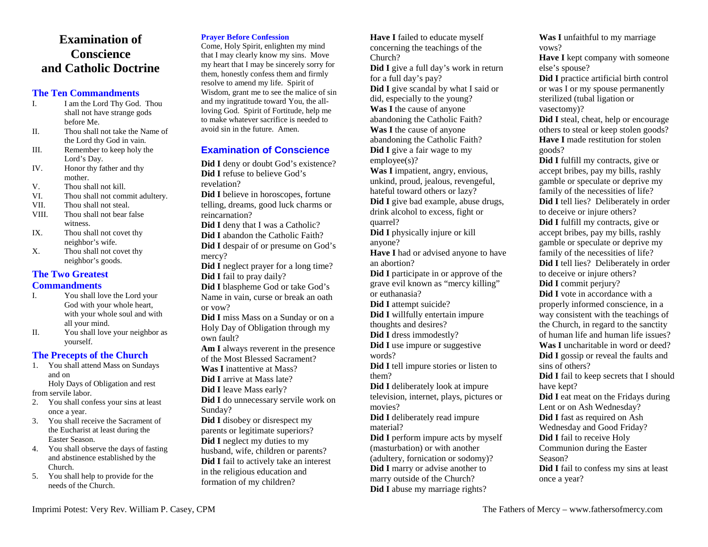# **Examination of Conscience and Catholic Doctrine**

# **The Ten Commandments**

- I am the Lord Thy God. Thou I.shall not have strange gods before Me.
- Thou shall not take the Name of II.the Lord thy God in vain.
- Remember to keep holy the III.Lord's Day.
- Honor thy father and thy IV.mother.
- Thou shall not kill. V.
- VI.Thou shall not commit adultery.
- VII.Thou shall not steal.
- VIII. Thou shall not bear false witness.
- Thou shall not covet thy IX.neighbor's wife.
- Thou shall not covet thy X.neighbor's goods.

# **The Two Greatest**

# **Commandments**

- You shall love the Lord your I.God with your whole heart, with your whole soul and with all your mind.
- You shall love your neighbor as II.yourself.

# **The Precepts of the Church**

 1. You shall attend Mass on Sundays and on Holy Days of Obligation and rest

from servile labor.

- 2. You shall confess your sins at least once a year.
- 3. You shall receive the Sacrament of the Eucharist at least during the Easter Season.
- 4. You shall observe the days of fasting and abstinence established by the Church.
- 5. You shall help to provide for the needs of the Church.

# **Prayer Before Confession**

 Come, Holy Spirit, enlighten my mind that I may clearly know my sins. Move my heart that I may be sincerely sorry for them, honestly confess them and firmly resolve to amend my life. Spirit of Wisdom, grant me to see the malice of sin and my ingratitude toward You, the allloving God. Spirit of Fortitude, help me to make whatever sacrifice is needed to avoid sin in the future. Amen.

# **Examination of Conscience**

**Did I** deny or doubt God's existence? **Did I** refuse to believe God's revelation?

**Did I** believe in horoscopes, fortune telling, dreams, good luck charms or reincarnation?

**Did I** deny that I was a Catholic? **Did I** abandon the Catholic Faith? **Did I** despair of or presume on God's mercy?

 **Did I** neglect prayer for a long time? **Did I** fail to pray daily?

 **Did I** blaspheme God or take God's Name in vain, curse or break an oath or vow?

**Did I** miss Mass on a Sunday or on a Holy Day of Obligation through my own fault?

**Am I** always reverent in the presence of the Most Blessed Sacrament?

- **Was I** inattentive at Mass?
- **Did I** arrive at Mass late?

formation of my children?

- **Did I** leave Mass early?
- **Did I** do unnecessary servile work on Sunday?

 **Did I** disobey or disrespect my parents or legitimate superiors? **Did I** neglect my duties to my husband, wife, children or parents? **Did I** fail to actively take an interest in the religious education and

**Have I** failed to educate myself concerning the teachings of the Church? **Did I** give a full day's work in return for a full day's pay? **Did I** give scandal by what I said or did, especially to the young? **Was I** the cause of anyone abandoning the Catholic Faith? **Was I** the cause of anyone abandoning the Catholic Faith? **Did I** give a fair wage to my employee(s)? **Was I** impatient, angry, envious, unkind, proud, jealous, revengeful, hateful toward others or lazy? **Did I** give bad example, abuse drugs, drink alcohol to excess, fight or quarrel? **Did I** physically injure or kill anyone? **Have I** had or advised anyone to have an abortion? **Did I** participate in or approve of the grave evil known as "mercy killing" or euthanasia? **Did I** attempt suicide? **Did I** willfully entertain impure thoughts and desires? **Did I** dress immodestly? **Did I** use impure or suggestive words? **Did I** tell impure stories or listen to them? **Did I** deliberately look at impure television, internet, plays, pictures or movies? **Did I** deliberately read impure material? **Did I** perform impure acts by myself (masturbation) or with another (adultery, fornication or sodomy)? **Did I** marry or advise another to

marry outside of the Church? **Did I** abuse my marriage rights? **Was I** unfaithful to my marriage vows?

 **Have I** kept company with someone else's spouse?

 **Did I** practice artificial birth control or was I or my spouse permanently sterilized (tubal ligation or vasectomy)?

 **Did I** steal, cheat, help or encourage others to steal or keep stolen goods? **Have I** made restitution for stolen goods?

 **Did I** fulfill my contracts, give or accept bribes, pay my bills, rashly gamble or speculate or deprive my family of the necessities of life? **Did I** tell lies? Deliberately in order to deceive or injure others? **Did I** fulfill my contracts, give or accept bribes, pay my bills, rashly gamble or speculate or deprive my family of the necessities of life? **Did I** tell lies? Deliberately in order

to deceive or injure others?

**Did I** commit perjury?

 **Did I** vote in accordance with a properly informed conscience, in a way consistent with the teachings of the Church, in regard to the sanctity of human life and human life issues? **Was I** uncharitable in word or deed? **Did I** gossip or reveal the faults and sins of others?

 **Did I** fail to keep secrets that I should have kept?

 **Did I** eat meat on the Fridays during Lent or on Ash Wednesday? **Did I** fast as required on Ash

Wednesday and Good Friday?

**Did I** fail to receive Holy

Communion during the Easter

Season?

 **Did I** fail to confess my sins at least once a year?